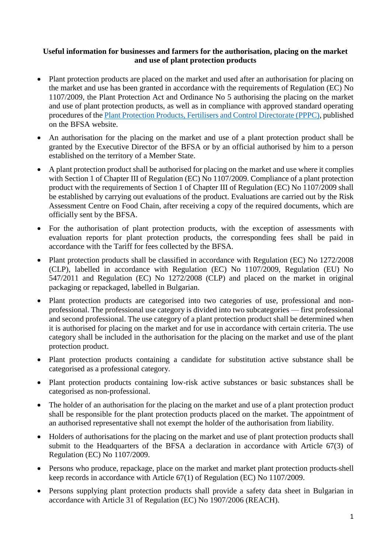## **Useful information for businesses and farmers for the authorisation, placing on the market and use of plant protection products**

- Plant protection products are placed on the market and used after an authorisation for placing on the market and use has been granted in accordance with the requirements of Regulation (EC) No 1107/2009, the Plant Protection Act and Ordinance No 5 authorising the placing on the market and use of plant protection products, as well as in compliance with approved standard operating procedures of the [Plant Protection Products, Fertilisers and Control Directorate \(PPPC\),](https://www.bfsa.bg/bg/Page/prztk/index/prztk/Дирекция%20П�) published on the BFSA website.
- An authorisation for the placing on the market and use of a plant protection product shall be granted by the Executive Director of the BFSA or by an official authorised by him to a person established on the territory of a Member State.
- A plant protection product shall be authorised for placing on the market and use where it complies with Section 1 of Chapter III of Regulation (EC) No 1107/2009. Compliance of a plant protection product with the requirements of Section 1 of Chapter III of Regulation (EC) No 1107/2009 shall be established by carrying out evaluations of the product. Evaluations are carried out by the Risk Assessment Centre on Food Chain, after receiving a copy of the required documents, which are officially sent by the BFSA.
- For the authorisation of plant protection products, with the exception of assessments with evaluation reports for plant protection products, the corresponding fees shall be paid in accordance with the Tariff for fees collected by the BFSA.
- Plant protection products shall be classified in accordance with Regulation (EC) No 1272/2008 (CLP), labelled in accordance with Regulation (EC) No 1107/2009, Regulation (EU) No 547/2011 and Regulation (EC) No 1272/2008 (CLP) and placed on the market in original packaging or repackaged, labelled in Bulgarian.
- Plant protection products are categorised into two categories of use, professional and nonprofessional. The professional use category is divided into two subcategories — first professional and second professional. The use category of a plant protection product shall be determined when it is authorised for placing on the market and for use in accordance with certain criteria. The use category shall be included in the authorisation for the placing on the market and use of the plant protection product.
- Plant protection products containing a candidate for substitution active substance shall be categorised as a professional category.
- Plant protection products containing low-risk active substances or basic substances shall be categorised as non-professional.
- The holder of an authorisation for the placing on the market and use of a plant protection product shall be responsible for the plant protection products placed on the market. The appointment of an authorised representative shall not exempt the holder of the authorisation from liability.
- Holders of authorisations for the placing on the market and use of plant protection products shall submit to the Headquarters of the BFSA a declaration in accordance with Article 67(3) of Regulation (EC) No 1107/2009.
- Persons who produce, repackage, place on the market and market plant protection products-shell keep records in accordance with Article 67(1) of Regulation (EC) No 1107/2009.
- Persons supplying plant protection products shall provide a safety data sheet in Bulgarian in accordance with Article 31 of Regulation (EC) No 1907/2006 (REACH).